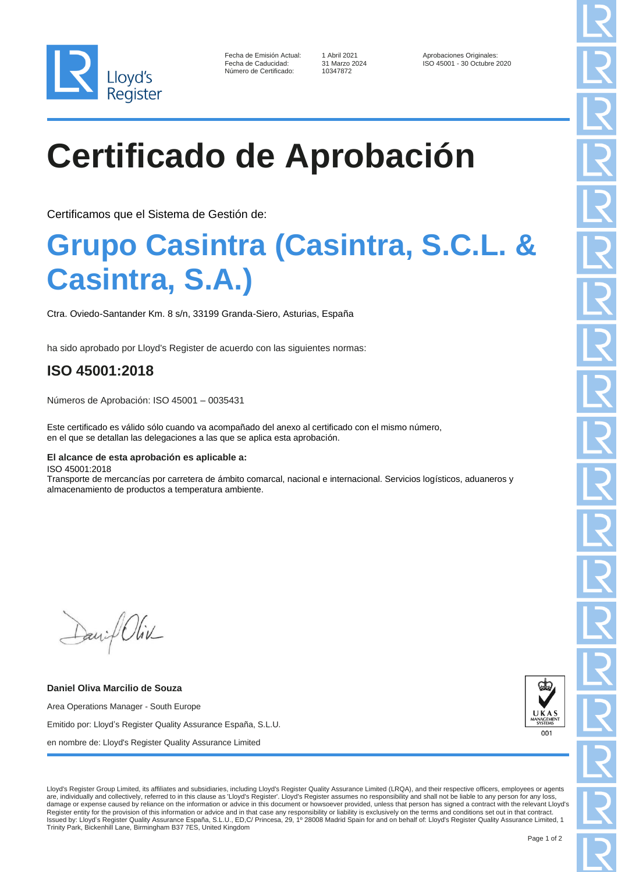

| Fecha de Emisión Actual: |
|--------------------------|
| Fecha de Caducidad:      |
| Número de Certificado:   |

10347872

1 Abril 2021 **Aprobaciones Originales:** 31 Marzo 2024 **Aprobaciones Originales:** 1 Aprobaciones Originales: ISO 45001 - 30 Octubre 2020

# **Certificado de Aprobación**

Certificamos que el Sistema de Gestión de:

### **Grupo Casintra (Casintra, S.C.L. & Casintra, S.A.)**

Ctra. Oviedo-Santander Km. 8 s/n, 33199 Granda-Siero, Asturias, España

ha sido aprobado por Lloyd's Register de acuerdo con las siguientes normas:

### **ISO 45001:2018**

Números de Aprobación: ISO 45001 – 0035431

Este certificado es válido sólo cuando va acompañado del anexo al certificado con el mismo número, en el que se detallan las delegaciones a las que se aplica esta aprobación.

#### **El alcance de esta aprobación es aplicable a:**

ISO 45001:2018

Transporte de mercancías por carretera de ámbito comarcal, nacional e internacional. Servicios logísticos, aduaneros y almacenamiento de productos a temperatura ambiente.

David Oliv

**Daniel Oliva Marcilio de Souza** Area Operations Manager - South Europe Emitido por: Lloyd's Register Quality Assurance España, S.L.U. en nombre de: Lloyd's Register Quality Assurance Limited



Lloyd's Register Group Limited, its affiliates and subsidiaries, including Lloyd's Register Quality Assurance Limited (LRQA), and their respective officers, employees or agents are, individually and collectively, referred to in this clause as 'Lloyd's Register'. Lloyd's Register assumes no responsibility and shall not be liable to any person for any loss, damage or expense caused by reliance on the information or advice in this document or howsoever provided, unless that person has signed a contract with the relevant Lloyd's Register entity for the provision of this information or advice and in that case any responsibility or liability is exclusively on the terms and conditions set out in that contract.<br>Issued by: Lloyd's Register Quality Assu Trinity Park, Bickenhill Lane, Birmingham B37 7ES, United Kingdom